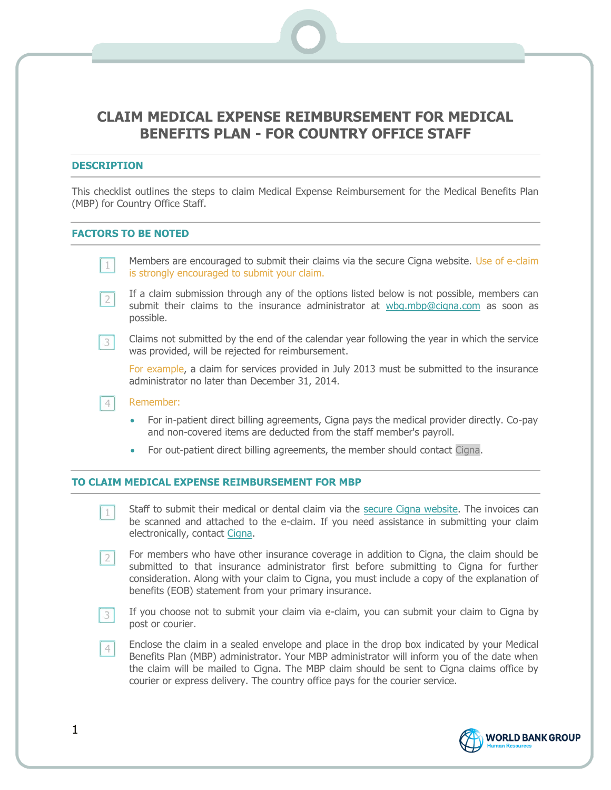# **CLAIM MEDICAL EXPENSE REIMBURSEMENT FOR MEDICAL BENEFITS PLAN - FOR COUNTRY OFFICE STAFF**

#### **DESCRIPTION**

This checklist outlines the steps to claim Medical Expense Reimbursement for the Medical Benefits Plan (MBP) for Country Office Staff.

### **FACTORS TO BE NOTED**

| $\boxed{1}$ | Members are encouraged to submit their claims via the secure Cigna website. Use of e-claim<br>is strongly encouraged to submit your claim.                                                    |  |
|-------------|-----------------------------------------------------------------------------------------------------------------------------------------------------------------------------------------------|--|
| $\boxed{2}$ | If a claim submission through any of the options listed below is not possible, members can<br>submit their claims to the insurance administrator at wbg.mbp@cigna.com as soon as<br>possible. |  |
| $\sqrt{3}$  | Claims not submitted by the end of the calendar year following the year in which the service<br>was provided, will be rejected for reimbursement.                                             |  |
|             | For example, a claim for services provided in July 2013 must be submitted to the insurance<br>administrator no later than December 31, 2014.                                                  |  |
|             | Remember:                                                                                                                                                                                     |  |
|             | For in-patient direct billing agreements, Cigna pays the medical provider directly. Co-pay<br>$\bullet$<br>and non-covered items are deducted from the staff member's payroll.                |  |
|             | For out-patient direct billing agreements, the member should contact Cigna.<br>۰                                                                                                              |  |
|             |                                                                                                                                                                                               |  |

### **TO CLAIM MEDICAL EXPENSE REIMBURSEMENT FOR MBP**

- Staff to submit their medical or dental claim via the [secure Cigna website.](http://www.cignahealthbenefits.com/) The invoices can  $|1|$ be scanned and attached to the e-claim. If you need assistance in submitting your claim electronically, contact [Cigna.](mailto:wbg.mbp@cigna.com)
- For members who have other insurance coverage in addition to Cigna, the claim should be  $2<sup>1</sup>$ submitted to that insurance administrator first before submitting to Cigna for further consideration. Along with your claim to Cigna, you must include a copy of the explanation of benefits (EOB) statement from your primary insurance.
- If you choose not to submit your claim via e-claim, you can submit your claim to Cigna by post or courier.
- Enclose the claim in a sealed envelope and place in the drop box indicated by your Medical  $4<sup>1</sup>$ Benefits Plan (MBP) administrator. Your MBP administrator will inform you of the date when the claim will be mailed to Cigna. The MBP claim should be sent to Cigna claims office by courier or express delivery. The country office pays for the courier service.